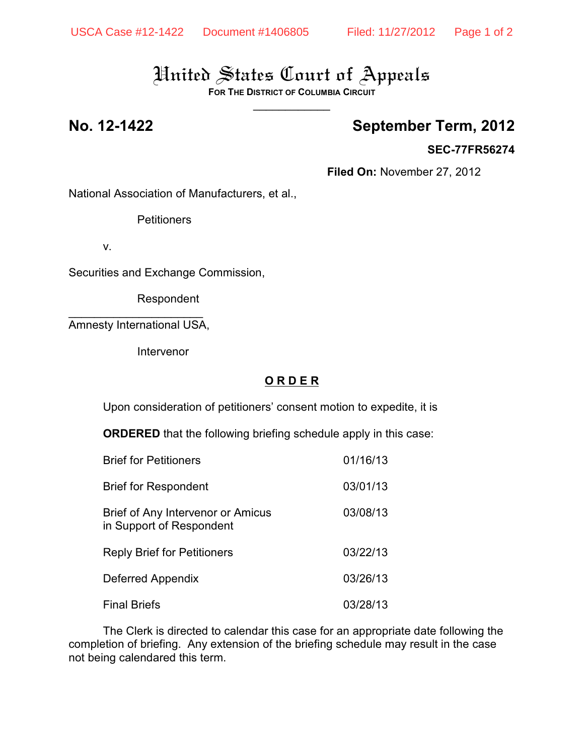# United States Court of Appeals

**FOR THE DISTRICT OF COLUMBIA CIRCUIT**  $\overline{\phantom{a}}$ 

## **No. 12-1422 September Term, 2012**

#### **SEC-77FR56274**

**Filed On:** November 27, 2012

National Association of Manufacturers, et al.,

**Petitioners** 

v.

Securities and Exchange Commission,

Respondent

 $\overline{\phantom{a}}$  , where  $\overline{\phantom{a}}$  , where  $\overline{\phantom{a}}$  , where  $\overline{\phantom{a}}$  ,  $\overline{\phantom{a}}$  ,  $\overline{\phantom{a}}$  ,  $\overline{\phantom{a}}$  ,  $\overline{\phantom{a}}$  ,  $\overline{\phantom{a}}$  ,  $\overline{\phantom{a}}$  ,  $\overline{\phantom{a}}$  ,  $\overline{\phantom{a}}$  ,  $\overline{\phantom{a}}$  ,  $\overline{\phantom{a}}$  ,  $\overline{\phantom$ Amnesty International USA,

Intervenor

### **O R D E R**

Upon consideration of petitioners' consent motion to expedite, it is

**ORDERED** that the following briefing schedule apply in this case:

| <b>Brief for Petitioners</b>                                  | 01/16/13 |
|---------------------------------------------------------------|----------|
| <b>Brief for Respondent</b>                                   | 03/01/13 |
| Brief of Any Intervenor or Amicus<br>in Support of Respondent | 03/08/13 |
| <b>Reply Brief for Petitioners</b>                            | 03/22/13 |
| Deferred Appendix                                             | 03/26/13 |
| <b>Final Briefs</b>                                           | 03/28/13 |

The Clerk is directed to calendar this case for an appropriate date following the completion of briefing. Any extension of the briefing schedule may result in the case not being calendared this term.